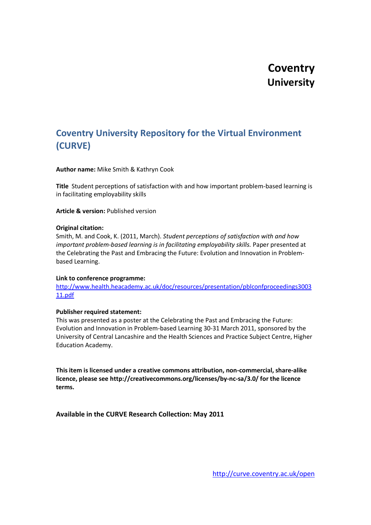# **Coventry University**

## **Coventry University Repository for the Virtual Environment (CURVE)**

#### **Author name:** Mike Smith & Kathryn Cook

**Title** Student perceptions of satisfaction with and how important problem-based learning is in facilitating employability skills

**Article & version:** Published version

#### **Original citation:**

Smith, M. and Cook, K. (2011, March). *Student perceptions of satisfaction with and how important problem-based learning is in facilitating employability skills.* Paper presented at the Celebrating the Past and Embracing the Future: Evolution and Innovation in Problembased Learning.

#### **Link to conference programme:**

[http://www.health.heacademy.ac.uk/doc/resources/presentation/pblconfproceedings3003](http://www.health.heacademy.ac.uk/doc/resources/presentation/pblconfproceedings300311.pdf) [11.pdf](http://www.health.heacademy.ac.uk/doc/resources/presentation/pblconfproceedings300311.pdf)

#### **Publisher required statement:**

This was presented as a poster at the Celebrating the Past and Embracing the Future: Evolution and Innovation in Problem-based Learning 30-31 March 2011, sponsored by the University of Central Lancashire and the Health Sciences and Practice Subject Centre, Higher Education Academy.

**This item is licensed under a creative commons attribution, non-commercial, share-alike licence, please see http://creativecommons.org/licenses/by-nc-sa/3.0/ for the licence terms.**

**Available in the CURVE Research Collection: May 2011**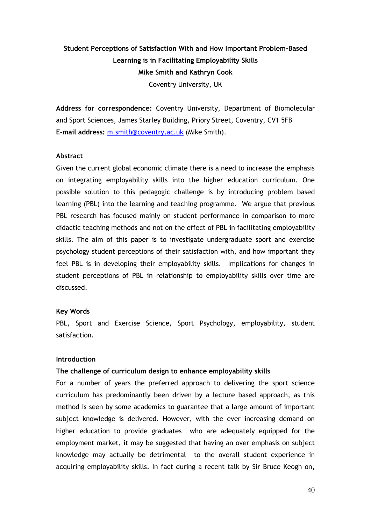## **Student Perceptions of Satisfaction With and How Important Problem-Based Learning is in Facilitating Employability Skills Mike Smith and Kathryn Cook** Coventry University, UK

**Address for correspondence:** Coventry University, Department of Biomolecular and Sport Sciences, James Starley Building, Priory Street, Coventry, CV1 5FB **E-mail address:** [m.smith@coventry.ac.uk](mailto:m.smith@coventry.ac.uk) (Mike Smith).

### **Abstract**

Given the current global economic climate there is a need to increase the emphasis on integrating employability skills into the higher education curriculum. One possible solution to this pedagogic challenge is by introducing problem based learning (PBL) into the learning and teaching programme. We argue that previous PBL research has focused mainly on student performance in comparison to more didactic teaching methods and not on the effect of PBL in facilitating employability skills. The aim of this paper is to investigate undergraduate sport and exercise psychology student perceptions of their satisfaction with, and how important they feel PBL is in developing their employability skills. Implications for changes in student perceptions of PBL in relationship to employability skills over time are discussed.

#### **Key Words**

PBL, Sport and Exercise Science, Sport Psychology, employability, student satisfaction.

#### **Introduction**

#### **The challenge of curriculum design to enhance employability skills**

For a number of years the preferred approach to delivering the sport science curriculum has predominantly been driven by a lecture based approach, as this method is seen by some academics to guarantee that a large amount of important subject knowledge is delivered. However, with the ever increasing demand on higher education to provide graduates who are adequately equipped for the employment market, it may be suggested that having an over emphasis on subject knowledge may actually be detrimental to the overall student experience in acquiring employability skills. In fact during a recent talk by Sir Bruce Keogh on,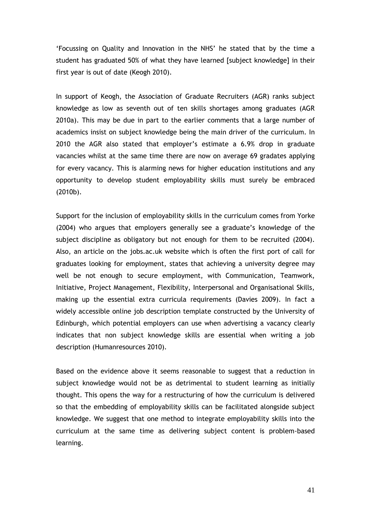"Focussing on Quality and Innovation in the NHS" he stated that by the time a student has graduated 50% of what they have learned [subject knowledge] in their first year is out of date (Keogh 2010).

In support of Keogh, the Association of Graduate Recruiters (AGR) ranks subject knowledge as low as seventh out of ten skills shortages among graduates (AGR 2010a). This may be due in part to the earlier comments that a large number of academics insist on subject knowledge being the main driver of the curriculum. In 2010 the AGR also stated that employer"s estimate a 6.9% drop in graduate vacancies whilst at the same time there are now on average 69 gradates applying for every vacancy. This is alarming news for higher education institutions and any opportunity to develop student employability skills must surely be embraced (2010b).

Support for the inclusion of employability skills in the curriculum comes from Yorke (2004) who argues that employers generally see a graduate"s knowledge of the subject discipline as obligatory but not enough for them to be recruited (2004). Also, an article on the jobs.ac.uk website which is often the first port of call for graduates looking for employment, states that achieving a university degree may well be not enough to secure employment, with Communication, Teamwork, Initiative, Project Management, Flexibility, Interpersonal and Organisational Skills, making up the essential extra curricula requirements (Davies 2009). In fact a widely accessible online job description template constructed by the University of Edinburgh, which potential employers can use when advertising a vacancy clearly indicates that non subject knowledge skills are essential when writing a job description (Humanresources 2010).

Based on the evidence above it seems reasonable to suggest that a reduction in subject knowledge would not be as detrimental to student learning as initially thought. This opens the way for a restructuring of how the curriculum is delivered so that the embedding of employability skills can be facilitated alongside subject knowledge. We suggest that one method to integrate employability skills into the curriculum at the same time as delivering subject content is problem-based learning.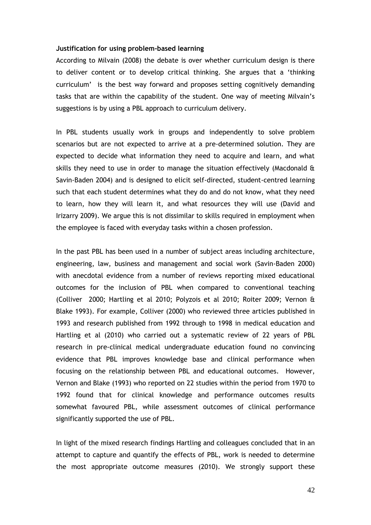## **Justification for using problem-based learning**

According to Milvain (2008) the debate is over whether curriculum design is there to deliver content or to develop critical thinking. She argues that a "thinking curriculum" is the best way forward and proposes setting cognitively demanding tasks that are within the capability of the student. One way of meeting Milvain"s suggestions is by using a PBL approach to curriculum delivery.

In PBL students usually work in groups and independently to solve problem scenarios but are not expected to arrive at a pre-determined solution. They are expected to decide what information they need to acquire and learn, and what skills they need to use in order to manage the situation effectively (Macdonald  $\hat{a}$ Savin-Baden 2004) and is designed to elicit self-directed, student-centred learning such that each student determines what they do and do not know, what they need to learn, how they will learn it, and what resources they will use (David and Irizarry 2009). We argue this is not dissimilar to skills required in employment when the employee is faced with everyday tasks within a chosen profession.

In the past PBL has been used in a number of subject areas including architecture, engineering, law, business and management and social work (Savin-Baden 2000) with anecdotal evidence from a number of reviews reporting mixed educational outcomes for the inclusion of PBL when compared to conventional teaching (Colliver 2000; Hartling et al 2010; Polyzois et al 2010; Roiter 2009; Vernon & Blake 1993). For example, Colliver (2000) who reviewed three articles published in 1993 and research published from 1992 through to 1998 in medical education and Hartling et al (2010) who carried out a systematic review of 22 years of PBL research in pre-clinical medical undergraduate education found no convincing evidence that PBL improves knowledge base and clinical performance when focusing on the relationship between PBL and educational outcomes. However, Vernon and Blake (1993) who reported on 22 studies within the period from 1970 to 1992 found that for clinical knowledge and performance outcomes results somewhat favoured PBL, while assessment outcomes of clinical performance significantly supported the use of PBL.

In light of the mixed research findings Hartling and colleagues concluded that in an attempt to capture and quantify the effects of PBL, work is needed to determine the most appropriate outcome measures (2010). We strongly support these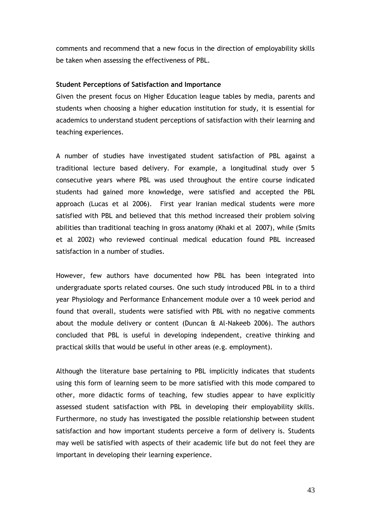comments and recommend that a new focus in the direction of employability skills be taken when assessing the effectiveness of PBL.

## **Student Perceptions of Satisfaction and Importance**

Given the present focus on Higher Education league tables by media, parents and students when choosing a higher education institution for study, it is essential for academics to understand student perceptions of satisfaction with their learning and teaching experiences.

A number of studies have investigated student satisfaction of PBL against a traditional lecture based delivery. For example, a longitudinal study over 5 consecutive years where PBL was used throughout the entire course indicated students had gained more knowledge, were satisfied and accepted the PBL approach (Lucas et al 2006). First year Iranian medical students were more satisfied with PBL and believed that this method increased their problem solving abilities than traditional teaching in gross anatomy (Khaki et al 2007), while (Smits et al 2002) who reviewed continual medical education found PBL increased satisfaction in a number of studies.

However, few authors have documented how PBL has been integrated into undergraduate sports related courses. One such study introduced PBL in to a third year Physiology and Performance Enhancement module over a 10 week period and found that overall, students were satisfied with PBL with no negative comments about the module delivery or content (Duncan  $\hat{a}$  Al-Nakeeb 2006). The authors concluded that PBL is useful in developing independent, creative thinking and practical skills that would be useful in other areas (e.g. employment).

Although the literature base pertaining to PBL implicitly indicates that students using this form of learning seem to be more satisfied with this mode compared to other, more didactic forms of teaching, few studies appear to have explicitly assessed student satisfaction with PBL in developing their employability skills. Furthermore, no study has investigated the possible relationship between student satisfaction and how important students perceive a form of delivery is. Students may well be satisfied with aspects of their academic life but do not feel they are important in developing their learning experience.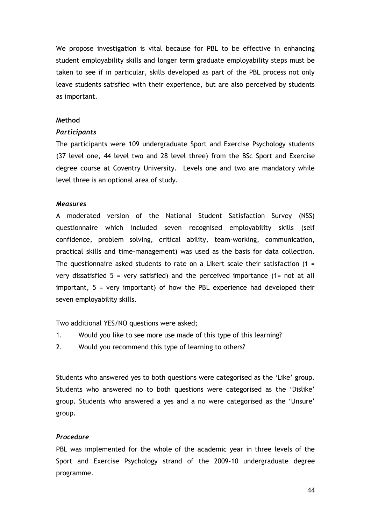We propose investigation is vital because for PBL to be effective in enhancing student employability skills and longer term graduate employability steps must be taken to see if in particular, skills developed as part of the PBL process not only leave students satisfied with their experience, but are also perceived by students as important.

## **Method**

## *Participants*

The participants were 109 undergraduate Sport and Exercise Psychology students (37 level one, 44 level two and 28 level three) from the BSc Sport and Exercise degree course at Coventry University. Levels one and two are mandatory while level three is an optional area of study.

## *Measures*

A moderated version of the National Student Satisfaction Survey (NSS) questionnaire which included seven recognised employability skills (self confidence, problem solving, critical ability, team-working, communication, practical skills and time-management) was used as the basis for data collection. The questionnaire asked students to rate on a Likert scale their satisfaction  $(1 =$ very dissatisfied  $5$  = very satisfied) and the perceived importance (1= not at all important, 5 = very important) of how the PBL experience had developed their seven employability skills.

Two additional YES/NO questions were asked;

- 1. Would you like to see more use made of this type of this learning?
- 2. Would you recommend this type of learning to others?

Students who answered yes to both questions were categorised as the 'Like' group. Students who answered no to both questions were categorised as the "Dislike" group. Students who answered a yes and a no were categorised as the "Unsure" group.

## *Procedure*

PBL was implemented for the whole of the academic year in three levels of the Sport and Exercise Psychology strand of the 2009-10 undergraduate degree programme.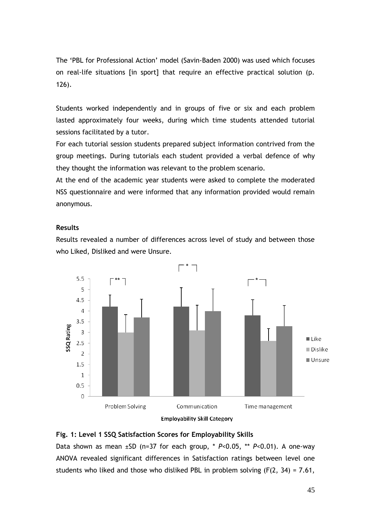The "PBL for Professional Action" model (Savin-Baden 2000) was used which focuses on real-life situations [in sport] that require an effective practical solution (p. 126).

Students worked independently and in groups of five or six and each problem lasted approximately four weeks, during which time students attended tutorial sessions facilitated by a tutor.

For each tutorial session students prepared subject information contrived from the group meetings. During tutorials each student provided a verbal defence of why they thought the information was relevant to the problem scenario.

At the end of the academic year students were asked to complete the moderated NSS questionnaire and were informed that any information provided would remain anonymous.

## **Results**

Results revealed a number of differences across level of study and between those who Liked, Disliked and were Unsure.





## **Fig. 1: Level 1 SSQ Satisfaction Scores for Employability Skills**

Data shown as mean ±SD (n=37 for each group, \* *P*<0.05, \*\* *P*<0.01). A one-way ANOVA revealed significant differences in Satisfaction ratings between level one students who liked and those who disliked PBL in problem solving  $(F(2, 34) = 7.61,$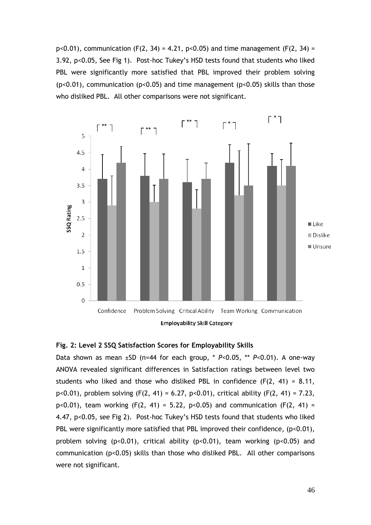p<0.01), communication (F(2, 34) = 4.21, p<0.05) and time management (F(2, 34) = 3.92, p<0.05, See Fig 1). Post-hoc Tukey"s HSD tests found that students who liked PBL were significantly more satisfied that PBL improved their problem solving (p<0.01), communication (p<0.05) and time management (p<0.05) skills than those who disliked PBL. All other comparisons were not significant.



## **Fig. 2: Level 2 SSQ Satisfaction Scores for Employability Skills**

Data shown as mean ±SD (n=44 for each group, \* *P*<0.05, \*\* *P*<0.01). A one-way ANOVA revealed significant differences in Satisfaction ratings between level two students who liked and those who disliked PBL in confidence  $(F(2, 41) = 8.11,$ p<0.01), problem solving (F(2, 41) = 6.27, p<0.01), critical ability (F(2, 41) = 7.23, p<0.01), team working  $(F(2, 41) = 5.22, p<0.05)$  and communication  $(F(2, 41) =$ 4.47, p<0.05, see Fig 2). Post-hoc Tukey"s HSD tests found that students who liked PBL were significantly more satisfied that PBL improved their confidence, (p<0.01), problem solving (p<0.01), critical ability (p<0.01), team working (p<0.05) and communication (p<0.05) skills than those who disliked PBL. All other comparisons were not significant.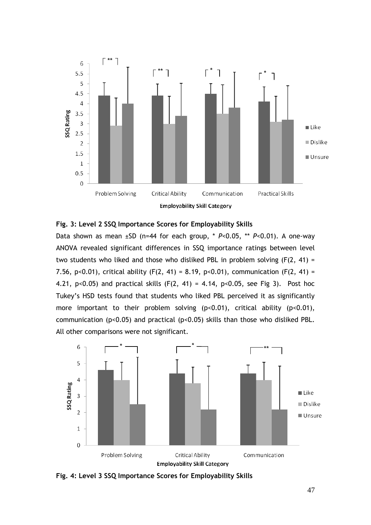

## **Fig. 3: Level 2 SSQ Importance Scores for Employability Skills**

Data shown as mean ±SD (n=44 for each group, \* *P*<0.05, \*\* *P*<0.01). A one-way ANOVA revealed significant differences in SSQ importance ratings between level two students who liked and those who disliked PBL in problem solving (F(2, 41) = 7.56, p<0.01), critical ability (F(2, 41) = 8.19, p<0.01), communication (F(2, 41) = 4.21,  $p<0.05$ ) and practical skills (F(2, 41) = 4.14,  $p<0.05$ , see Fig 3). Post hoc Tukey"s HSD tests found that students who liked PBL perceived it as significantly more important to their problem solving  $(p<0.01)$ , critical ability  $(p<0.01)$ , communication (p<0.05) and practical (p<0.05) skills than those who disliked PBL. All other comparisons were not significant.



**Fig. 4: Level 3 SSQ Importance Scores for Employability Skills**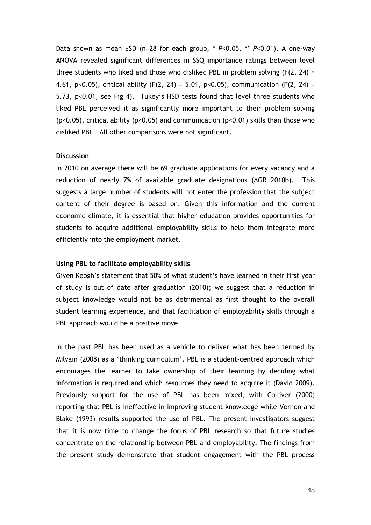Data shown as mean ±SD (n=28 for each group, \* *P*<0.05, \*\* *P*<0.01). A one-way ANOVA revealed significant differences in SSQ importance ratings between level three students who liked and those who disliked PBL in problem solving  $(F(2, 24) =$ 4.61, p<0.05), critical ability (F(2, 24) = 5.01, p<0.05), communication (F(2, 24) = 5.73, p<0.01, see Fig 4). Tukey"s HSD tests found that level three students who liked PBL perceived it as significantly more important to their problem solving (p<0.05), critical ability (p<0.05) and communication (p<0.01) skills than those who disliked PBL. All other comparisons were not significant.

### **Discussion**

In 2010 on average there will be 69 graduate applications for every vacancy and a reduction of nearly 7% of available graduate designations (AGR 2010b). This suggests a large number of students will not enter the profession that the subject content of their degree is based on. Given this information and the current economic climate, it is essential that higher education provides opportunities for students to acquire additional employability skills to help them integrate more efficiently into the employment market.

#### **Using PBL to facilitate employability skills**

Given Keogh"s statement that 50% of what student"s have learned in their first year of study is out of date after graduation (2010); we suggest that a reduction in subject knowledge would not be as detrimental as first thought to the overall student learning experience, and that facilitation of employability skills through a PBL approach would be a positive move.

In the past PBL has been used as a vehicle to deliver what has been termed by Milvain (2008) as a "thinking curriculum". PBL is a student-centred approach which encourages the learner to take ownership of their learning by deciding what information is required and which resources they need to acquire it (David 2009). Previously support for the use of PBL has been mixed, with Colliver (2000) reporting that PBL is ineffective in improving student knowledge while Vernon and Blake (1993) results supported the use of PBL. The present investigators suggest that it is now time to change the focus of PBL research so that future studies concentrate on the relationship between PBL and employability. The findings from the present study demonstrate that student engagement with the PBL process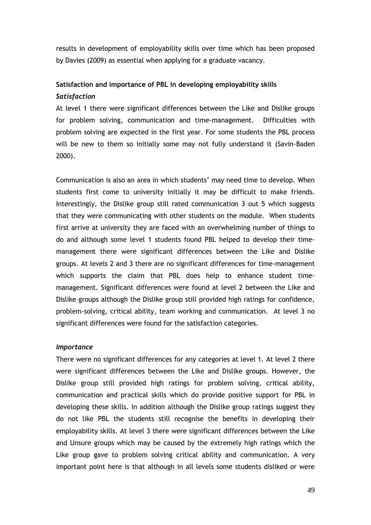results in development of employability skills over time which has been proposed by Davies (2009) as essential when applying for a graduate vacancy.

## **Satisfaction and importance of PBL in developing employability skills** *Satisfaction*

At level 1 there were significant differences between the Like and Dislike groups for problem solving, communication and time-management. Difficulties with problem solving are expected in the first year. For some students the PBL process will be new to them so initially some may not fully understand it (Savin-Baden 2000).

Communication is also an area in which students" may need time to develop. When students first come to university initially it may be difficult to make friends. Interestingly, the Dislike group still rated communication 3 out 5 which suggests that they were communicating with other students on the module. When students first arrive at university they are faced with an overwhelming number of things to do and although some level 1 students found PBL helped to develop their timemanagement there were significant differences between the Like and Dislike groups. At levels 2 and 3 there are no significant differences for time-management which supports the claim that PBL does help to enhance student timemanagement. Significant differences were found at level 2 between the Like and Dislike groups although the Dislike group still provided high ratings for confidence, problem-solving, critical ability, team working and communication. At level 3 no significant differences were found for the satisfaction categories.

## *Importance*

There were no significant differences for any categories at level 1. At level 2 there were significant differences between the Like and Dislike groups. However, the Dislike group still provided high ratings for problem solving, critical ability, communication and practical skills which do provide positive support for PBL in developing these skills. In addition although the Dislike group ratings suggest they do not like PBL the students still recognise the benefits in developing their employability skills. At level 3 there were significant differences between the Like and Unsure groups which may be caused by the extremely high ratings which the Like group gave to problem solving critical ability and communication. A very important point here is that although in all levels some students disliked or were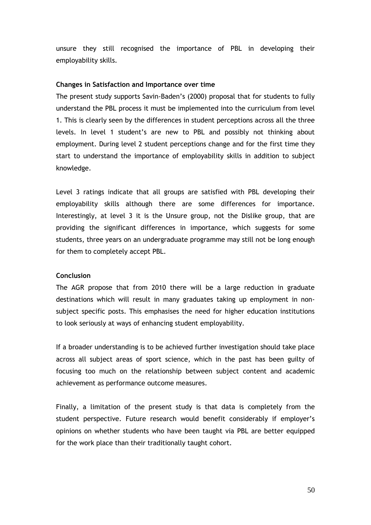unsure they still recognised the importance of PBL in developing their employability skills.

#### **Changes in Satisfaction and Importance over time**

The present study supports Savin-Baden"s (2000) proposal that for students to fully understand the PBL process it must be implemented into the curriculum from level 1. This is clearly seen by the differences in student perceptions across all the three levels. In level 1 student's are new to PBL and possibly not thinking about employment. During level 2 student perceptions change and for the first time they start to understand the importance of employability skills in addition to subject knowledge.

Level 3 ratings indicate that all groups are satisfied with PBL developing their employability skills although there are some differences for importance. Interestingly, at level 3 it is the Unsure group, not the Dislike group, that are providing the significant differences in importance, which suggests for some students, three years on an undergraduate programme may still not be long enough for them to completely accept PBL.

#### **Conclusion**

The AGR propose that from 2010 there will be a large reduction in graduate destinations which will result in many graduates taking up employment in nonsubject specific posts. This emphasises the need for higher education institutions to look seriously at ways of enhancing student employability.

If a broader understanding is to be achieved further investigation should take place across all subject areas of sport science, which in the past has been guilty of focusing too much on the relationship between subject content and academic achievement as performance outcome measures.

Finally, a limitation of the present study is that data is completely from the student perspective. Future research would benefit considerably if employer"s opinions on whether students who have been taught via PBL are better equipped for the work place than their traditionally taught cohort.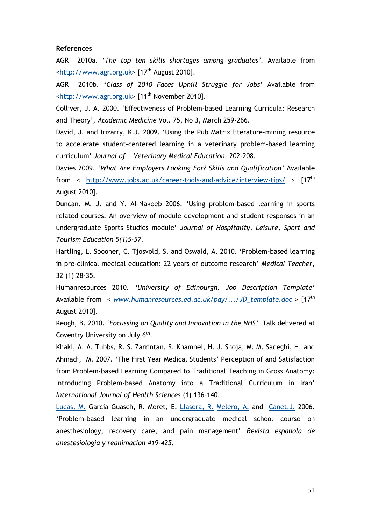#### **References**

AGR 2010a. "*The top ten skills shortages among graduates".* Available from [<http://www.agr.org.uk>](http://www.agr.org.uk/) [17<sup>th</sup> August 2010].

AGR 2010b. **'***Class of 2010 Faces Uphill Struggle for Jobs"* Available from  $\frac{1}{10}$  [<http://www.agr.org.uk>](http://www.agr.org.uk/) [11<sup>th</sup> November 2010].

Colliver, J. A. 2000. "Effectiveness of Problem-based Learning Curricula: Research and Theory", *Academic Medicine* Vol. 75, No 3, March 259-266.

[David, J.](http://www.refworks.com/RWShibboleth/~0~) and [Irizarry, K.J.](http://www.refworks.com/RWShibboleth/~0~) 2009. "Using the Pub Matrix literature-mining resource to accelerate student-centered learning in a veterinary problem-based learning curriculum" *Journal of Veterinary Medical Education,* 202-208.

Davies 2009. "*What Are Employers Looking For? Skills and Qualification"* Available from < <http://www.jobs.ac.uk/career-tools-and-advice/interview-tips/> > [17<sup>th</sup> August 2010].

Duncan. M. J. and Y. Al-Nakeeb 2006. "Using problem-based learning in sports related courses: An overview of module development and student responses in an undergraduate Sports Studies module" *Journal of Hospitality, Leisure, Sport and Tourism Education 5(1)5-57.*

Hartling, L. Spooner, C. Tjosvold, S. and Oswald, A. 2010. "Problem-based learning in pre-clinical medical education: 22 years of outcome research" *Medical Teacher*, 32 (1) 28-35.

Humanresources 2010. *"University of Edinburgh. Job Description Template"*  Available from < *[www.humanresources.ed.ac.uk/pay/.../JD\\_template.doc](http://www.humanresources.ed.ac.uk/pay/.../JD_template.doc)* > [17th August 2010].

Keogh, B. 2010. "*Focussing on Quality and Innovation in the NHS"* Talk delivered at Coventry University on July  $6<sup>th</sup>$ .

Khaki, A. A. Tubbs, R. S. Zarrintan, S. Khamnei, H. J. Shoja, M. M. Sadeghi, H. and Ahmadi, M. 2007. "The First Year Medical Students" Perception of and Satisfaction from Problem-based Learning Compared to Traditional Teaching in Gross Anatomy: Introducing Problem-based Anatomy into a Traditional Curriculum in Iran" *International Journal of Health Sciences* (1) 136-140.

[Lucas, M.](http://www.refworks.com/RWShibboleth/~0~) Garcia Guasch, R. Moret, E. [Llasera, R.](http://www.refworks.com/RWShibboleth/~0~) [Melero, A.](http://www.refworks.com/RWShibboleth/~0~) and [Canet,J.](http://www.refworks.com/RWShibboleth/~0~) 2006. "Problem-based learning in an undergraduate medical school course on anesthesiology, recovery care, and pain management" *[Revista espanola de](http://www.refworks.com/RWShibboleth/~2~)  [anestesiologia y reanimacion](http://www.refworks.com/RWShibboleth/~2~) 419-425.*